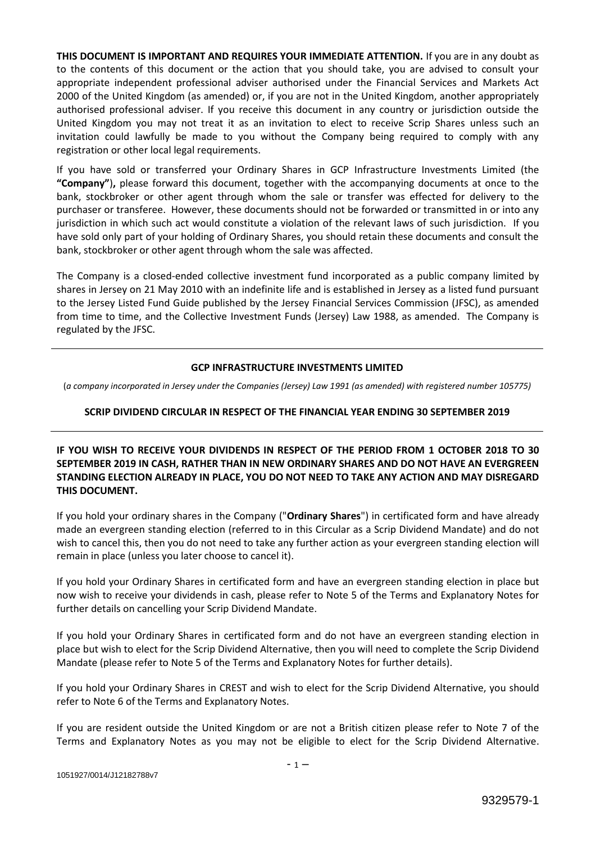**THIS DOCUMENT IS IMPORTANT AND REQUIRES YOUR IMMEDIATE ATTENTION.** If you are in any doubt as to the contents of this document or the action that you should take, you are advised to consult your appropriate independent professional adviser authorised under the Financial Services and Markets Act 2000 of the United Kingdom (as amended) or, if you are not in the United Kingdom, another appropriately authorised professional adviser. If you receive this document in any country or jurisdiction outside the United Kingdom you may not treat it as an invitation to elect to receive Scrip Shares unless such an invitation could lawfully be made to you without the Company being required to comply with any registration or other local legal requirements.

If you have sold or transferred your Ordinary Shares in GCP Infrastructure Investments Limited (the **"Company"**)**,** please forward this document, together with the accompanying documents at once to the bank, stockbroker or other agent through whom the sale or transfer was effected for delivery to the purchaser or transferee. However, these documents should not be forwarded or transmitted in or into any jurisdiction in which such act would constitute a violation of the relevant laws of such jurisdiction. If you have sold only part of your holding of Ordinary Shares, you should retain these documents and consult the bank, stockbroker or other agent through whom the sale was affected.

The Company is a closed-ended collective investment fund incorporated as a public company limited by shares in Jersey on 21 May 2010 with an indefinite life and is established in Jersey as a listed fund pursuant to the Jersey Listed Fund Guide published by the Jersey Financial Services Commission (JFSC), as amended from time to time, and the Collective Investment Funds (Jersey) Law 1988, as amended. The Company is regulated by the JFSC.

# **GCP INFRASTRUCTURE INVESTMENTS LIMITED**

(*a company incorporated in Jersey under the Companies (Jersey) Law 1991 (as amended) with registered number 105775)*

# **SCRIP DIVIDEND CIRCULAR IN RESPECT OF THE FINANCIAL YEAR ENDING 30 SEPTEMBER 2019**

**IF YOU WISH TO RECEIVE YOUR DIVIDENDS IN RESPECT OF THE PERIOD FROM 1 OCTOBER 2018 TO 30 SEPTEMBER 2019 IN CASH, RATHER THAN IN NEW ORDINARY SHARES AND DO NOT HAVE AN EVERGREEN STANDING ELECTION ALREADY IN PLACE, YOU DO NOT NEED TO TAKE ANY ACTION AND MAY DISREGARD THIS DOCUMENT.**

If you hold your ordinary shares in the Company ("**Ordinary Shares**") in certificated form and have already made an evergreen standing election (referred to in this Circular as a Scrip Dividend Mandate) and do not wish to cancel this, then you do not need to take any further action as your evergreen standing election will remain in place (unless you later choose to cancel it).

If you hold your Ordinary Shares in certificated form and have an evergreen standing election in place but now wish to receive your dividends in cash, please refer to Note 5 of the Terms and Explanatory Notes for further details on cancelling your Scrip Dividend Mandate.

If you hold your Ordinary Shares in certificated form and do not have an evergreen standing election in place but wish to elect for the Scrip Dividend Alternative, then you will need to complete the Scrip Dividend Mandate (please refer to Note 5 of the Terms and Explanatory Notes for further details).

If you hold your Ordinary Shares in CREST and wish to elect for the Scrip Dividend Alternative, you should refer to Note 6 of the Terms and Explanatory Notes.

If you are resident outside the United Kingdom or are not a British citizen please refer to Note 7 of the Terms and Explanatory Notes as you may not be eligible to elect for the Scrip Dividend Alternative.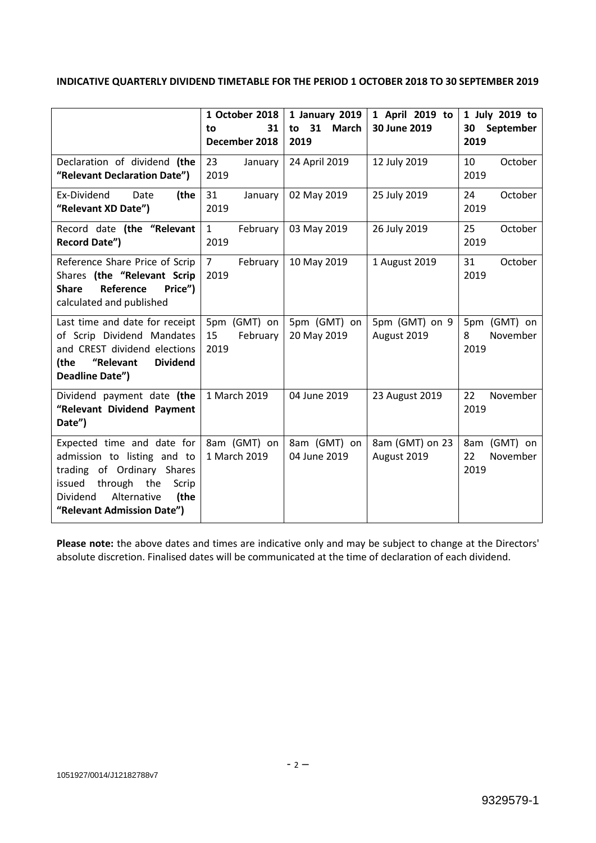# **INDICATIVE QUARTERLY DIVIDEND TIMETABLE FOR THE PERIOD 1 OCTOBER 2018 TO 30 SEPTEMBER 2019**

|                                                                                                                                                                                         | 1 October 2018<br>31<br>to<br>December 2018 | 1 January 2019<br>to 31<br><b>March</b><br>2019 | 1 April 2019 to<br>30 June 2019 | 1 July 2019 to<br>30<br>September<br>2019 |
|-----------------------------------------------------------------------------------------------------------------------------------------------------------------------------------------|---------------------------------------------|-------------------------------------------------|---------------------------------|-------------------------------------------|
| Declaration of dividend (the<br>"Relevant Declaration Date")                                                                                                                            | 23<br>January<br>2019                       | 24 April 2019                                   | 12 July 2019                    | 10<br>October<br>2019                     |
| Ex-Dividend<br>Date<br>(the<br>"Relevant XD Date")                                                                                                                                      | 31<br>January<br>2019                       | 02 May 2019                                     | 25 July 2019                    | 24<br>October<br>2019                     |
| Record date (the "Relevant<br><b>Record Date")</b>                                                                                                                                      | $\mathbf{1}$<br>February<br>2019            | 03 May 2019                                     | 26 July 2019                    | 25<br>October<br>2019                     |
| Reference Share Price of Scrip<br>Shares (the "Relevant Scrip<br><b>Share</b><br>Reference<br>Price")<br>calculated and published                                                       | $7^{\circ}$<br>February<br>2019             | 10 May 2019                                     | 1 August 2019                   | 31<br>October<br>2019                     |
| Last time and date for receipt<br>of Scrip Dividend Mandates<br>and CREST dividend elections<br>"Relevant<br><b>Dividend</b><br>(the<br>Deadline Date")                                 | 5pm (GMT) on<br>February<br>15<br>2019      | 5pm (GMT) on<br>20 May 2019                     | 5pm (GMT) on 9<br>August 2019   | 5pm (GMT) on<br>November<br>8<br>2019     |
| Dividend payment date (the<br>"Relevant Dividend Payment<br>Date")                                                                                                                      | 1 March 2019                                | 04 June 2019                                    | 23 August 2019                  | 22<br>November<br>2019                    |
| Expected time and date for<br>admission to listing and to<br>trading of Ordinary Shares<br>issued through the<br>Scrip<br>Dividend<br>Alternative<br>(the<br>"Relevant Admission Date") | 8am (GMT) on<br>1 March 2019                | 8am (GMT) on<br>04 June 2019                    | 8am (GMT) on 23<br>August 2019  | 8am (GMT) on<br>22<br>November<br>2019    |

**Please note:** the above dates and times are indicative only and may be subject to change at the Directors' absolute discretion. Finalised dates will be communicated at the time of declaration of each dividend.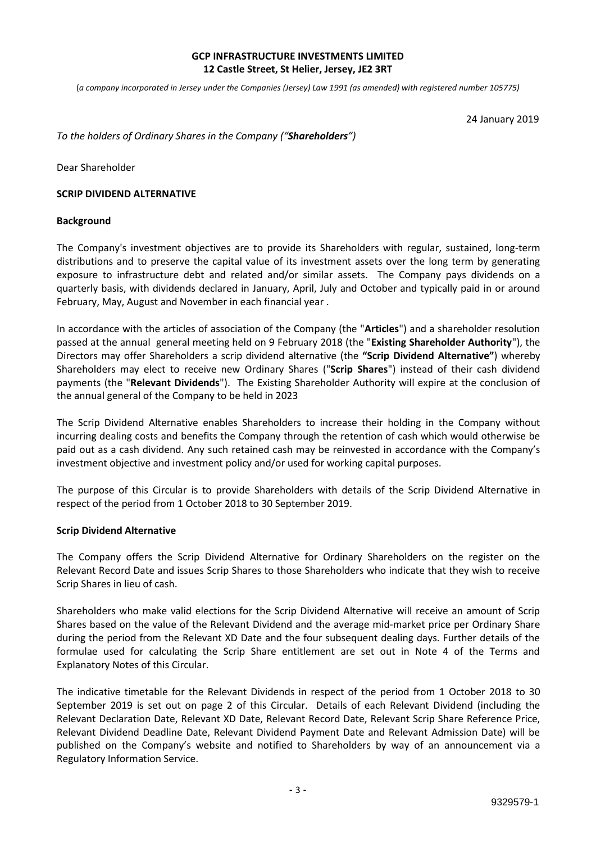# **GCP INFRASTRUCTURE INVESTMENTS LIMITED 12 Castle Street, St Helier, Jersey, JE2 3RT**

(*a company incorporated in Jersey under the Companies (Jersey) Law 1991 (as amended) with registered number 105775)*

24 January 2019

*To the holders of Ordinary Shares in the Company ("Shareholders")*

Dear Shareholder

#### **SCRIP DIVIDEND ALTERNATIVE**

#### **Background**

The Company's investment objectives are to provide its Shareholders with regular, sustained, long-term distributions and to preserve the capital value of its investment assets over the long term by generating exposure to infrastructure debt and related and/or similar assets. The Company pays dividends on a quarterly basis, with dividends declared in January, April, July and October and typically paid in or around February, May, August and November in each financial year .

In accordance with the articles of association of the Company (the "**Articles**") and a shareholder resolution passed at the annual general meeting held on 9 February 2018 (the "**Existing Shareholder Authority**"), the Directors may offer Shareholders a scrip dividend alternative (the **"Scrip Dividend Alternative"**) whereby Shareholders may elect to receive new Ordinary Shares ("**Scrip Shares**") instead of their cash dividend payments (the "**Relevant Dividends**"). The Existing Shareholder Authority will expire at the conclusion of the annual general of the Company to be held in 2023

The Scrip Dividend Alternative enables Shareholders to increase their holding in the Company without incurring dealing costs and benefits the Company through the retention of cash which would otherwise be paid out as a cash dividend. Any such retained cash may be reinvested in accordance with the Company's investment objective and investment policy and/or used for working capital purposes.

The purpose of this Circular is to provide Shareholders with details of the Scrip Dividend Alternative in respect of the period from 1 October 2018 to 30 September 2019.

#### **Scrip Dividend Alternative**

The Company offers the Scrip Dividend Alternative for Ordinary Shareholders on the register on the Relevant Record Date and issues Scrip Shares to those Shareholders who indicate that they wish to receive Scrip Shares in lieu of cash.

Shareholders who make valid elections for the Scrip Dividend Alternative will receive an amount of Scrip Shares based on the value of the Relevant Dividend and the average mid-market price per Ordinary Share during the period from the Relevant XD Date and the four subsequent dealing days. Further details of the formulae used for calculating the Scrip Share entitlement are set out in Note 4 of the Terms and Explanatory Notes of this Circular.

The indicative timetable for the Relevant Dividends in respect of the period from 1 October 2018 to 30 September 2019 is set out on page 2 of this Circular. Details of each Relevant Dividend (including the Relevant Declaration Date, Relevant XD Date, Relevant Record Date, Relevant Scrip Share Reference Price, Relevant Dividend Deadline Date, Relevant Dividend Payment Date and Relevant Admission Date) will be published on the Company's website and notified to Shareholders by way of an announcement via a Regulatory Information Service.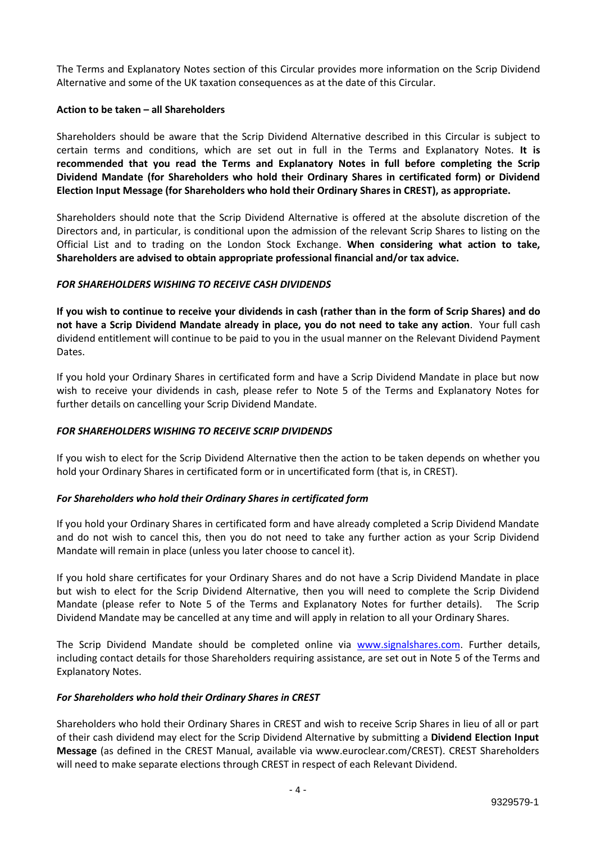The Terms and Explanatory Notes section of this Circular provides more information on the Scrip Dividend Alternative and some of the UK taxation consequences as at the date of this Circular.

### **Action to be taken – all Shareholders**

Shareholders should be aware that the Scrip Dividend Alternative described in this Circular is subject to certain terms and conditions, which are set out in full in the Terms and Explanatory Notes. **It is recommended that you read the Terms and Explanatory Notes in full before completing the Scrip Dividend Mandate (for Shareholders who hold their Ordinary Shares in certificated form) or Dividend Election Input Message (for Shareholders who hold their Ordinary Shares in CREST), as appropriate.**

Shareholders should note that the Scrip Dividend Alternative is offered at the absolute discretion of the Directors and, in particular, is conditional upon the admission of the relevant Scrip Shares to listing on the Official List and to trading on the London Stock Exchange. **When considering what action to take, Shareholders are advised to obtain appropriate professional financial and/or tax advice.**

# *FOR SHAREHOLDERS WISHING TO RECEIVE CASH DIVIDENDS*

**If you wish to continue to receive your dividends in cash (rather than in the form of Scrip Shares) and do not have a Scrip Dividend Mandate already in place, you do not need to take any action**. Your full cash dividend entitlement will continue to be paid to you in the usual manner on the Relevant Dividend Payment Dates.

If you hold your Ordinary Shares in certificated form and have a Scrip Dividend Mandate in place but now wish to receive your dividends in cash, please refer to Note 5 of the Terms and Explanatory Notes for further details on cancelling your Scrip Dividend Mandate.

# *FOR SHAREHOLDERS WISHING TO RECEIVE SCRIP DIVIDENDS*

If you wish to elect for the Scrip Dividend Alternative then the action to be taken depends on whether you hold your Ordinary Shares in certificated form or in uncertificated form (that is, in CREST).

### *For Shareholders who hold their Ordinary Shares in certificated form*

If you hold your Ordinary Shares in certificated form and have already completed a Scrip Dividend Mandate and do not wish to cancel this, then you do not need to take any further action as your Scrip Dividend Mandate will remain in place (unless you later choose to cancel it).

If you hold share certificates for your Ordinary Shares and do not have a Scrip Dividend Mandate in place but wish to elect for the Scrip Dividend Alternative, then you will need to complete the Scrip Dividend Mandate (please refer to Note 5 of the Terms and Explanatory Notes for further details). The Scrip Dividend Mandate may be cancelled at any time and will apply in relation to all your Ordinary Shares.

The Scrip Dividend Mandate should be completed online via www.signalshares.com. Further details, including contact details for those Shareholders requiring assistance, are set out in Note 5 of the Terms and Explanatory Notes.

### *For Shareholders who hold their Ordinary Shares in CREST*

Shareholders who hold their Ordinary Shares in CREST and wish to receive Scrip Shares in lieu of all or part of their cash dividend may elect for the Scrip Dividend Alternative by submitting a **Dividend Election Input Message** (as defined in the CREST Manual, available via www.euroclear.com/CREST). CREST Shareholders will need to make separate elections through CREST in respect of each Relevant Dividend.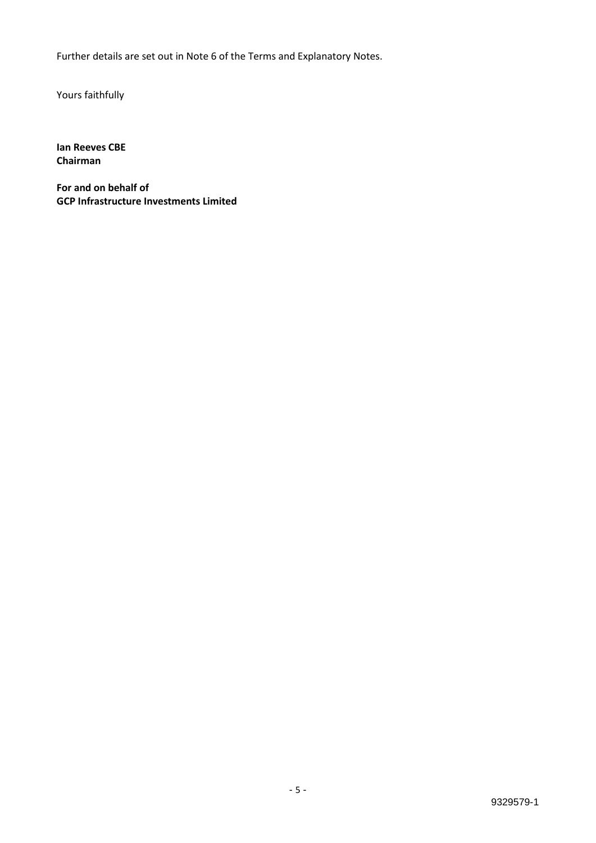Further details are set out in Note 6 of the Terms and Explanatory Notes.

Yours faithfully

**Ian Reeves CBE Chairman**

**For and on behalf of GCP Infrastructure Investments Limited**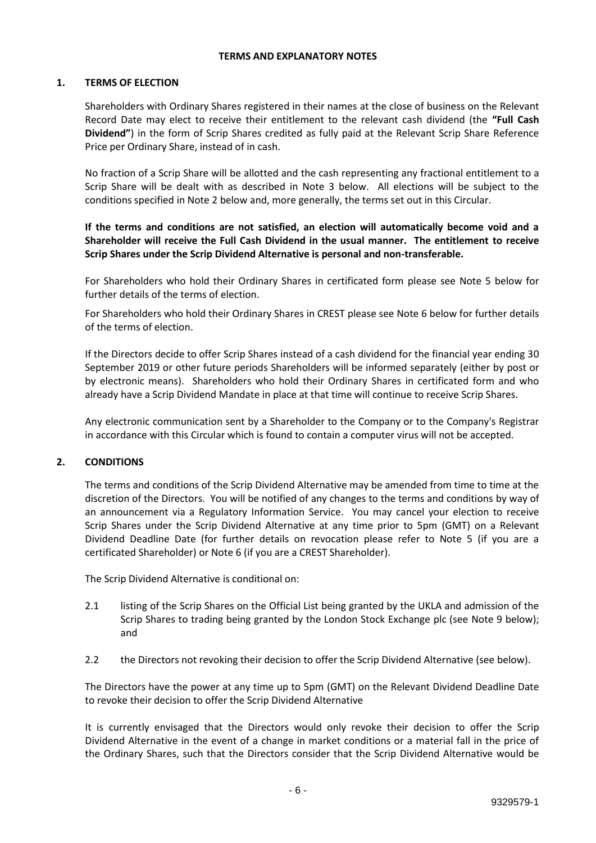#### **TERMS AND EXPLANATORY NOTES**

### **1. TERMS OF ELECTION**

Shareholders with Ordinary Shares registered in their names at the close of business on the Relevant Record Date may elect to receive their entitlement to the relevant cash dividend (the **"Full Cash Dividend"**) in the form of Scrip Shares credited as fully paid at the Relevant Scrip Share Reference Price per Ordinary Share, instead of in cash.

No fraction of a Scrip Share will be allotted and the cash representing any fractional entitlement to a Scrip Share will be dealt with as described in Note 3 below. All elections will be subject to the conditions specified in Note 2 below and, more generally, the terms set out in this Circular.

**If the terms and conditions are not satisfied, an election will automatically become void and a Shareholder will receive the Full Cash Dividend in the usual manner. The entitlement to receive Scrip Shares under the Scrip Dividend Alternative is personal and non-transferable.**

For Shareholders who hold their Ordinary Shares in certificated form please see Note 5 below for further details of the terms of election.

For Shareholders who hold their Ordinary Shares in CREST please see Note 6 below for further details of the terms of election.

If the Directors decide to offer Scrip Shares instead of a cash dividend for the financial year ending 30 September 2019 or other future periods Shareholders will be informed separately (either by post or by electronic means). Shareholders who hold their Ordinary Shares in certificated form and who already have a Scrip Dividend Mandate in place at that time will continue to receive Scrip Shares.

Any electronic communication sent by a Shareholder to the Company or to the Company's Registrar in accordance with this Circular which is found to contain a computer virus will not be accepted.

### **2. CONDITIONS**

The terms and conditions of the Scrip Dividend Alternative may be amended from time to time at the discretion of the Directors. You will be notified of any changes to the terms and conditions by way of an announcement via a Regulatory Information Service. You may cancel your election to receive Scrip Shares under the Scrip Dividend Alternative at any time prior to 5pm (GMT) on a Relevant Dividend Deadline Date (for further details on revocation please refer to Note 5 (if you are a certificated Shareholder) or Note 6 (if you are a CREST Shareholder).

The Scrip Dividend Alternative is conditional on:

- 2.1 listing of the Scrip Shares on the Official List being granted by the UKLA and admission of the Scrip Shares to trading being granted by the London Stock Exchange plc (see Note 9 below); and
- 2.2 the Directors not revoking their decision to offer the Scrip Dividend Alternative (see below).

The Directors have the power at any time up to 5pm (GMT) on the Relevant Dividend Deadline Date to revoke their decision to offer the Scrip Dividend Alternative

It is currently envisaged that the Directors would only revoke their decision to offer the Scrip Dividend Alternative in the event of a change in market conditions or a material fall in the price of the Ordinary Shares, such that the Directors consider that the Scrip Dividend Alternative would be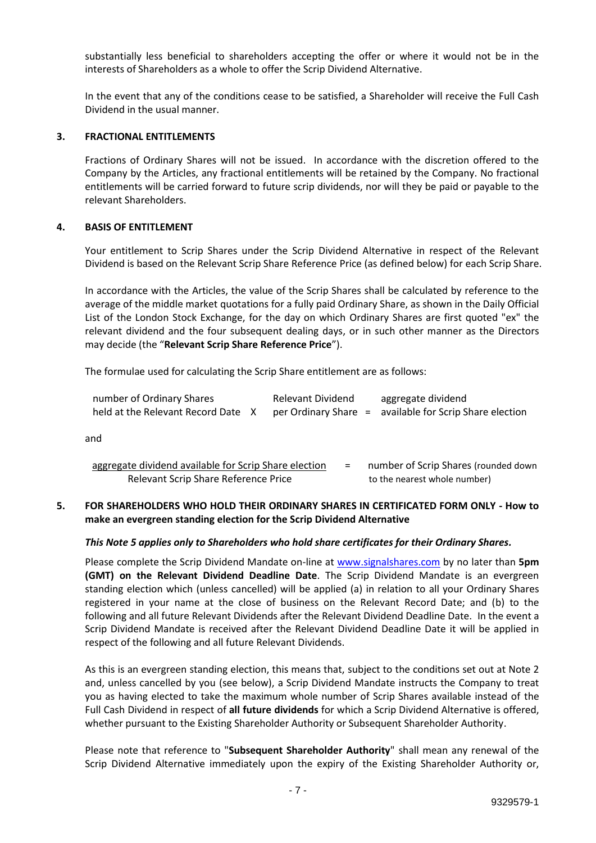substantially less beneficial to shareholders accepting the offer or where it would not be in the interests of Shareholders as a whole to offer the Scrip Dividend Alternative.

In the event that any of the conditions cease to be satisfied, a Shareholder will receive the Full Cash Dividend in the usual manner.

### **3. FRACTIONAL ENTITLEMENTS**

Fractions of Ordinary Shares will not be issued. In accordance with the discretion offered to the Company by the Articles, any fractional entitlements will be retained by the Company. No fractional entitlements will be carried forward to future scrip dividends, nor will they be paid or payable to the relevant Shareholders.

# **4. BASIS OF ENTITLEMENT**

Your entitlement to Scrip Shares under the Scrip Dividend Alternative in respect of the Relevant Dividend is based on the Relevant Scrip Share Reference Price (as defined below) for each Scrip Share.

In accordance with the Articles, the value of the Scrip Shares shall be calculated by reference to the average of the middle market quotations for a fully paid Ordinary Share, as shown in the Daily Official List of the London Stock Exchange, for the day on which Ordinary Shares are first quoted "ex" the relevant dividend and the four subsequent dealing days, or in such other manner as the Directors may decide (the "**Relevant Scrip Share Reference Price**").

The formulae used for calculating the Scrip Share entitlement are as follows:

| number of Ordinary Shares          | <b>Relevant Dividend</b> | aggregate dividend                                      |
|------------------------------------|--------------------------|---------------------------------------------------------|
| held at the Relevant Record Date X |                          | per Ordinary Share = available for Scrip Share election |

and

| aggregate dividend available for Scrip Share election |  | number of Scrip Shares (rounded down |
|-------------------------------------------------------|--|--------------------------------------|
| Relevant Scrip Share Reference Price                  |  | to the nearest whole number)         |

# **5. FOR SHAREHOLDERS WHO HOLD THEIR ORDINARY SHARES IN CERTIFICATED FORM ONLY - How to make an evergreen standing election for the Scrip Dividend Alternative**

### *This Note 5 applies only to Shareholders who hold share certificates for their Ordinary Shares.*

Please complete the Scrip Dividend Mandate on-line at www.signalshares.com by no later than **5pm (GMT) on the Relevant Dividend Deadline Date**. The Scrip Dividend Mandate is an evergreen standing election which (unless cancelled) will be applied (a) in relation to all your Ordinary Shares registered in your name at the close of business on the Relevant Record Date; and (b) to the following and all future Relevant Dividends after the Relevant Dividend Deadline Date. In the event a Scrip Dividend Mandate is received after the Relevant Dividend Deadline Date it will be applied in respect of the following and all future Relevant Dividends.

As this is an evergreen standing election, this means that, subject to the conditions set out at Note 2 and, unless cancelled by you (see below), a Scrip Dividend Mandate instructs the Company to treat you as having elected to take the maximum whole number of Scrip Shares available instead of the Full Cash Dividend in respect of **all future dividends** for which a Scrip Dividend Alternative is offered, whether pursuant to the Existing Shareholder Authority or Subsequent Shareholder Authority.

Please note that reference to "**Subsequent Shareholder Authority**" shall mean any renewal of the Scrip Dividend Alternative immediately upon the expiry of the Existing Shareholder Authority or,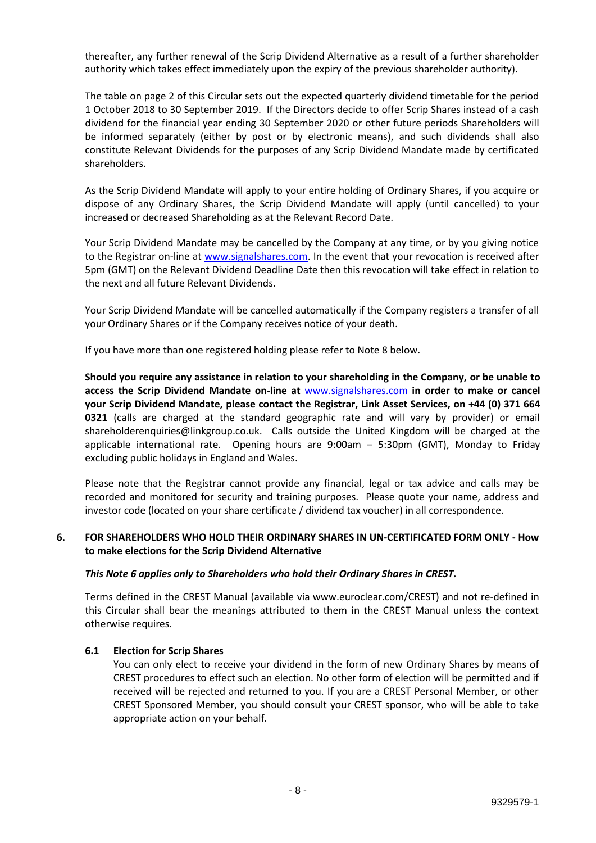thereafter, any further renewal of the Scrip Dividend Alternative as a result of a further shareholder authority which takes effect immediately upon the expiry of the previous shareholder authority).

The table on page 2 of this Circular sets out the expected quarterly dividend timetable for the period 1 October 2018 to 30 September 2019. If the Directors decide to offer Scrip Shares instead of a cash dividend for the financial year ending 30 September 2020 or other future periods Shareholders will be informed separately (either by post or by electronic means), and such dividends shall also constitute Relevant Dividends for the purposes of any Scrip Dividend Mandate made by certificated shareholders.

As the Scrip Dividend Mandate will apply to your entire holding of Ordinary Shares, if you acquire or dispose of any Ordinary Shares, the Scrip Dividend Mandate will apply (until cancelled) to your increased or decreased Shareholding as at the Relevant Record Date.

Your Scrip Dividend Mandate may be cancelled by the Company at any time, or by you giving notice to the Registrar on-line at www.signalshares.com. In the event that your revocation is received after 5pm (GMT) on the Relevant Dividend Deadline Date then this revocation will take effect in relation to the next and all future Relevant Dividends.

Your Scrip Dividend Mandate will be cancelled automatically if the Company registers a transfer of all your Ordinary Shares or if the Company receives notice of your death.

If you have more than one registered holding please refer to Note 8 below.

**Should you require any assistance in relation to your shareholding in the Company, or be unable to access the Scrip Dividend Mandate on-line at** www.signalshares.com **in order to make or cancel your Scrip Dividend Mandate, please contact the Registrar, Link Asset Services, on +44 (0) 371 664 0321** (calls are charged at the standard geographic rate and will vary by provider) or email shareholderenquiries@linkgroup.co.uk. Calls outside the United Kingdom will be charged at the applicable international rate. Opening hours are 9:00am – 5:30pm (GMT), Monday to Friday excluding public holidays in England and Wales.

Please note that the Registrar cannot provide any financial, legal or tax advice and calls may be recorded and monitored for security and training purposes. Please quote your name, address and investor code (located on your share certificate / dividend tax voucher) in all correspondence.

# **6. FOR SHAREHOLDERS WHO HOLD THEIR ORDINARY SHARES IN UN-CERTIFICATED FORM ONLY - How to make elections for the Scrip Dividend Alternative**

### *This Note 6 applies only to Shareholders who hold their Ordinary Shares in CREST.*

Terms defined in the CREST Manual (available via www.euroclear.com/CREST) and not re-defined in this Circular shall bear the meanings attributed to them in the CREST Manual unless the context otherwise requires.

### **6.1 Election for Scrip Shares**

You can only elect to receive your dividend in the form of new Ordinary Shares by means of CREST procedures to effect such an election. No other form of election will be permitted and if received will be rejected and returned to you. If you are a CREST Personal Member, or other CREST Sponsored Member, you should consult your CREST sponsor, who will be able to take appropriate action on your behalf.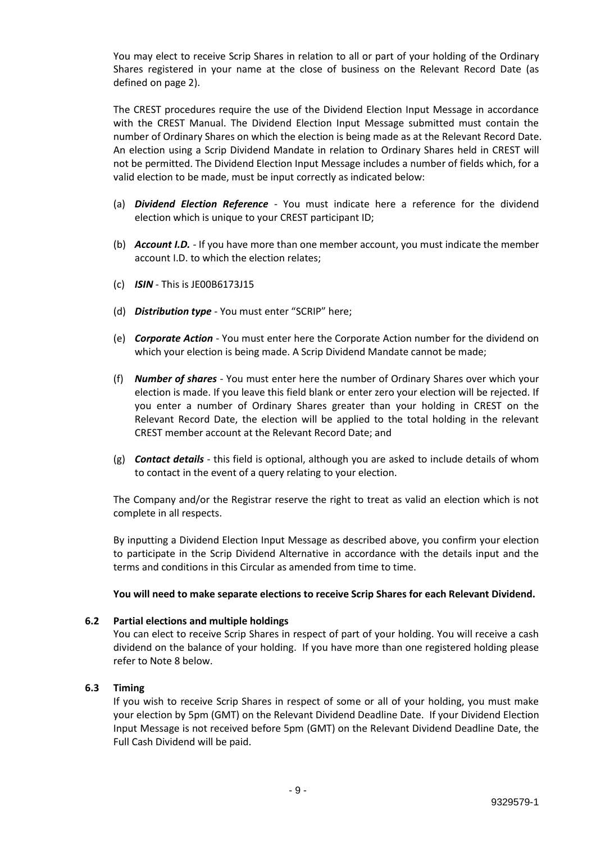You may elect to receive Scrip Shares in relation to all or part of your holding of the Ordinary Shares registered in your name at the close of business on the Relevant Record Date (as defined on page 2).

The CREST procedures require the use of the Dividend Election Input Message in accordance with the CREST Manual. The Dividend Election Input Message submitted must contain the number of Ordinary Shares on which the election is being made as at the Relevant Record Date. An election using a Scrip Dividend Mandate in relation to Ordinary Shares held in CREST will not be permitted. The Dividend Election Input Message includes a number of fields which, for a valid election to be made, must be input correctly as indicated below:

- (a) *Dividend Election Reference*  You must indicate here a reference for the dividend election which is unique to your CREST participant ID;
- (b) *Account I.D.*  If you have more than one member account, you must indicate the member account I.D. to which the election relates;
- (c) *ISIN* This is JE00B6173J15
- (d) *Distribution type* You must enter "SCRIP" here;
- (e) *Corporate Action* You must enter here the Corporate Action number for the dividend on which your election is being made. A Scrip Dividend Mandate cannot be made;
- (f) *Number of shares* You must enter here the number of Ordinary Shares over which your election is made. If you leave this field blank or enter zero your election will be rejected. If you enter a number of Ordinary Shares greater than your holding in CREST on the Relevant Record Date, the election will be applied to the total holding in the relevant CREST member account at the Relevant Record Date; and
- (g) *Contact details* this field is optional, although you are asked to include details of whom to contact in the event of a query relating to your election.

The Company and/or the Registrar reserve the right to treat as valid an election which is not complete in all respects.

By inputting a Dividend Election Input Message as described above, you confirm your election to participate in the Scrip Dividend Alternative in accordance with the details input and the terms and conditions in this Circular as amended from time to time.

### **You will need to make separate elections to receive Scrip Shares for each Relevant Dividend.**

### **6.2 Partial elections and multiple holdings**

You can elect to receive Scrip Shares in respect of part of your holding. You will receive a cash dividend on the balance of your holding. If you have more than one registered holding please refer to Note 8 below.

# **6.3 Timing**

If you wish to receive Scrip Shares in respect of some or all of your holding, you must make your election by 5pm (GMT) on the Relevant Dividend Deadline Date. If your Dividend Election Input Message is not received before 5pm (GMT) on the Relevant Dividend Deadline Date, the Full Cash Dividend will be paid.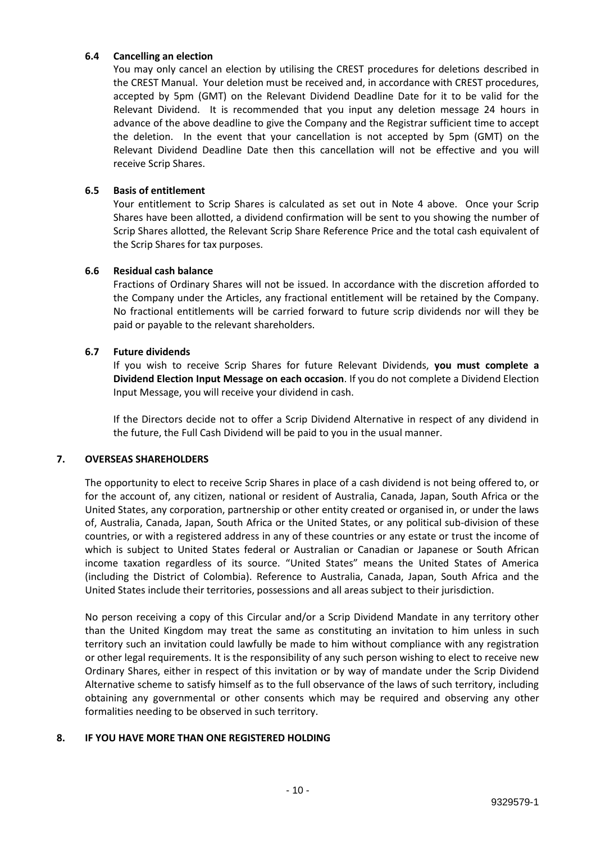# **6.4 Cancelling an election**

You may only cancel an election by utilising the CREST procedures for deletions described in the CREST Manual. Your deletion must be received and, in accordance with CREST procedures, accepted by 5pm (GMT) on the Relevant Dividend Deadline Date for it to be valid for the Relevant Dividend. It is recommended that you input any deletion message 24 hours in advance of the above deadline to give the Company and the Registrar sufficient time to accept the deletion. In the event that your cancellation is not accepted by 5pm (GMT) on the Relevant Dividend Deadline Date then this cancellation will not be effective and you will receive Scrip Shares.

# **6.5 Basis of entitlement**

Your entitlement to Scrip Shares is calculated as set out in Note 4 above. Once your Scrip Shares have been allotted, a dividend confirmation will be sent to you showing the number of Scrip Shares allotted, the Relevant Scrip Share Reference Price and the total cash equivalent of the Scrip Shares for tax purposes.

# **6.6 Residual cash balance**

Fractions of Ordinary Shares will not be issued. In accordance with the discretion afforded to the Company under the Articles, any fractional entitlement will be retained by the Company. No fractional entitlements will be carried forward to future scrip dividends nor will they be paid or payable to the relevant shareholders.

# **6.7 Future dividends**

If you wish to receive Scrip Shares for future Relevant Dividends, **you must complete a Dividend Election Input Message on each occasion**. If you do not complete a Dividend Election Input Message, you will receive your dividend in cash.

If the Directors decide not to offer a Scrip Dividend Alternative in respect of any dividend in the future, the Full Cash Dividend will be paid to you in the usual manner.

# **7. OVERSEAS SHAREHOLDERS**

The opportunity to elect to receive Scrip Shares in place of a cash dividend is not being offered to, or for the account of, any citizen, national or resident of Australia, Canada, Japan, South Africa or the United States, any corporation, partnership or other entity created or organised in, or under the laws of, Australia, Canada, Japan, South Africa or the United States, or any political sub-division of these countries, or with a registered address in any of these countries or any estate or trust the income of which is subject to United States federal or Australian or Canadian or Japanese or South African income taxation regardless of its source. "United States" means the United States of America (including the District of Colombia). Reference to Australia, Canada, Japan, South Africa and the United States include their territories, possessions and all areas subject to their jurisdiction.

No person receiving a copy of this Circular and/or a Scrip Dividend Mandate in any territory other than the United Kingdom may treat the same as constituting an invitation to him unless in such territory such an invitation could lawfully be made to him without compliance with any registration or other legal requirements. It is the responsibility of any such person wishing to elect to receive new Ordinary Shares, either in respect of this invitation or by way of mandate under the Scrip Dividend Alternative scheme to satisfy himself as to the full observance of the laws of such territory, including obtaining any governmental or other consents which may be required and observing any other formalities needing to be observed in such territory.

### **8. IF YOU HAVE MORE THAN ONE REGISTERED HOLDING**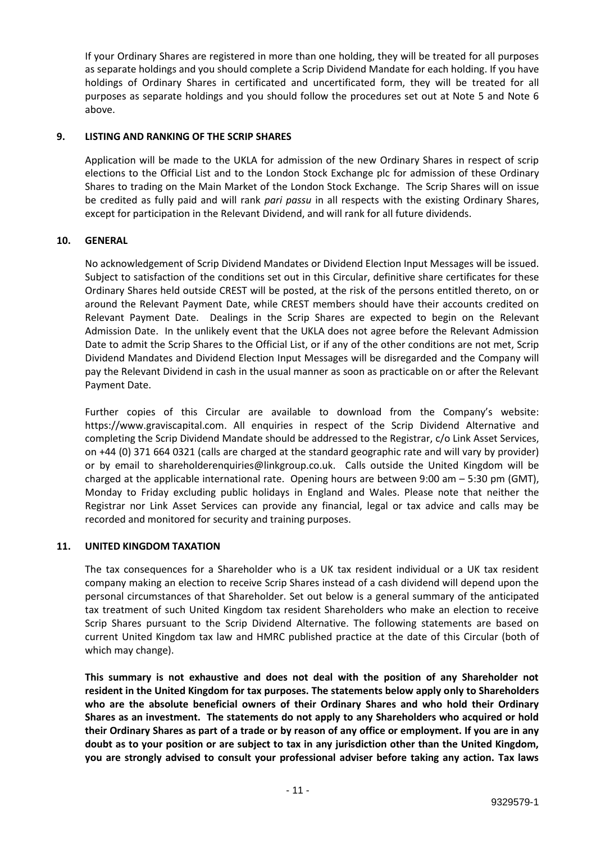If your Ordinary Shares are registered in more than one holding, they will be treated for all purposes as separate holdings and you should complete a Scrip Dividend Mandate for each holding. If you have holdings of Ordinary Shares in certificated and uncertificated form, they will be treated for all purposes as separate holdings and you should follow the procedures set out at Note 5 and Note 6 above.

# **9. LISTING AND RANKING OF THE SCRIP SHARES**

Application will be made to the UKLA for admission of the new Ordinary Shares in respect of scrip elections to the Official List and to the London Stock Exchange plc for admission of these Ordinary Shares to trading on the Main Market of the London Stock Exchange. The Scrip Shares will on issue be credited as fully paid and will rank *pari passu* in all respects with the existing Ordinary Shares, except for participation in the Relevant Dividend, and will rank for all future dividends.

# **10. GENERAL**

No acknowledgement of Scrip Dividend Mandates or Dividend Election Input Messages will be issued. Subject to satisfaction of the conditions set out in this Circular, definitive share certificates for these Ordinary Shares held outside CREST will be posted, at the risk of the persons entitled thereto, on or around the Relevant Payment Date, while CREST members should have their accounts credited on Relevant Payment Date. Dealings in the Scrip Shares are expected to begin on the Relevant Admission Date. In the unlikely event that the UKLA does not agree before the Relevant Admission Date to admit the Scrip Shares to the Official List, or if any of the other conditions are not met, Scrip Dividend Mandates and Dividend Election Input Messages will be disregarded and the Company will pay the Relevant Dividend in cash in the usual manner as soon as practicable on or after the Relevant Payment Date.

Further copies of this Circular are available to download from the Company's website: https://www.graviscapital.com. All enquiries in respect of the Scrip Dividend Alternative and completing the Scrip Dividend Mandate should be addressed to the Registrar, c/o Link Asset Services, on +44 (0) 371 664 0321 (calls are charged at the standard geographic rate and will vary by provider) or by email to shareholderenquiries@linkgroup.co.uk. Calls outside the United Kingdom will be charged at the applicable international rate. Opening hours are between 9:00 am – 5:30 pm (GMT), Monday to Friday excluding public holidays in England and Wales. Please note that neither the Registrar nor Link Asset Services can provide any financial, legal or tax advice and calls may be recorded and monitored for security and training purposes.

### **11. UNITED KINGDOM TAXATION**

The tax consequences for a Shareholder who is a UK tax resident individual or a UK tax resident company making an election to receive Scrip Shares instead of a cash dividend will depend upon the personal circumstances of that Shareholder. Set out below is a general summary of the anticipated tax treatment of such United Kingdom tax resident Shareholders who make an election to receive Scrip Shares pursuant to the Scrip Dividend Alternative. The following statements are based on current United Kingdom tax law and HMRC published practice at the date of this Circular (both of which may change).

**This summary is not exhaustive and does not deal with the position of any Shareholder not resident in the United Kingdom for tax purposes. The statements below apply only to Shareholders who are the absolute beneficial owners of their Ordinary Shares and who hold their Ordinary Shares as an investment. The statements do not apply to any Shareholders who acquired or hold their Ordinary Shares as part of a trade or by reason of any office or employment. If you are in any doubt as to your position or are subject to tax in any jurisdiction other than the United Kingdom, you are strongly advised to consult your professional adviser before taking any action. Tax laws**